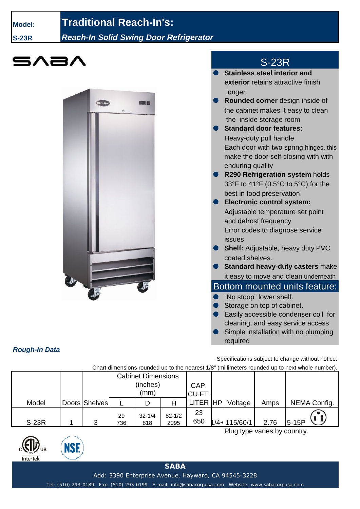**Model:**

**S-23R**

## **Traditional Reach-In's:**

*Reach-In Solid Swing Door Refrigerator*





## S-23R

- **Stainless steel interior and exterior** retains attractive finish longer.
- **Rounded corner** design inside of the cabinet makes it easy to clean the inside storage room
- **Standard door features:** Heavy-duty pull handle Each door with two spring hinges, this make the door self-closing with with enduring quality
- **R290 Refrigeration system holds** 33°F to 41°F (0.5°C to 5°C) for the best in food preservation.
- **Electronic control system:** Adjustable temperature set point and defrost frequency Error codes to diagnose service issues
- **Shelf:** Adjustable, heavy duty PVC coated shelves.
- **Standard heavy-duty casters make** it easy to move and clean underneath

## Bottom mounted units feature:

- "No stoop" lower shelf.
- Storage on top of cabinet.
- Easily accessible condenser coil for cleaning, and easy service access
- Simple installation with no plumbing required

Specifications subject to change without notice.

Chart dimensions rounded up to the nearest 1/8" (millimeters rounded up to next whole number).

|              |               | <b>Cabinet Dimensions</b><br>(inches)<br>(mm) |                   |                    | CAP.<br>CU.FT. |         |          |      |              |
|--------------|---------------|-----------------------------------------------|-------------------|--------------------|----------------|---------|----------|------|--------------|
| Model        | Doors Shelves |                                               |                   |                    | LITER HP       |         | Voltage  | Amps | NEMA Config. |
| <b>S-23R</b> | ঽ             | 29<br>736                                     | $32 - 1/4$<br>818 | $82 - 1/2$<br>2095 | 23<br>650      | $1/4 +$ | 115/60/1 | 2.76 | $5-15P$      |

Plug type varies by country.



*Rough-In Data*



**SABA**

Add: 3390 Enterprise Avenue, Hayward, CA 94545-3228

Tel: (510) 293-0189 Fax: (510) 293-0199 E-mail: info@sabacorpusa.com Website: www.sabacorpusa.com